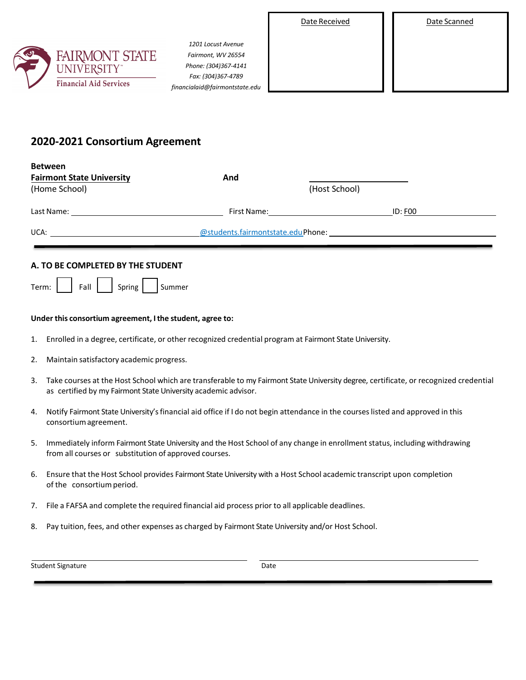| Date Received | Date Scanned |
|---------------|--------------|
|               |              |

| Date Scanned |  |
|--------------|--|
|              |  |



**Between**

*1201 Locust Avenue Fairmont, WV 26554 Phone: (304)367-4141 Fax: (304)367-4789 financialaid@fairmontstate.edu*

# **2020-2021 Consortium Agreement**

| <b>DELWEEII</b><br><b>Fairmont State University</b> | And                               |                |
|-----------------------------------------------------|-----------------------------------|----------------|
| (Home School)                                       |                                   | (Host School)  |
| Last Name:                                          | First Name:                       | <b>ID: F00</b> |
| UCA:                                                | @students.fairmontstate.eduPhone: |                |

# **A. TO BE COMPLETED BY THE STUDENT**

| Term· | Fall | Spring | 1 Summer |
|-------|------|--------|----------|
|-------|------|--------|----------|

## **Under this consortium agreement, I the student, agree to:**

- 1. Enrolled in a degree, certificate, or other recognized credential program at Fairmont State University.
- 2. Maintain satisfactory academic progress.
- 3. Take courses at the Host School which are transferable to my Fairmont State University degree, certificate, or recognized credential as certified by my Fairmont State University academic advisor.
- 4. Notify Fairmont State University's financial aid office if I do not begin attendance in the courseslisted and approved in this consortiumagreement.
- 5. Immediately inform Fairmont State University and the Host School of any change in enrollment status, including withdrawing from all courses or substitution of approved courses.
- 6. Ensure that the Host School provides Fairmont State University with a Host School academic transcript upon completion of the consortium period.
- 7. File a FAFSA and complete the required financial aid process prior to all applicable deadlines.
- 8. Pay tuition, fees, and other expenses as charged by Fairmont State University and/or Host School.

| <b>Student Signature</b> | Date |
|--------------------------|------|
|--------------------------|------|